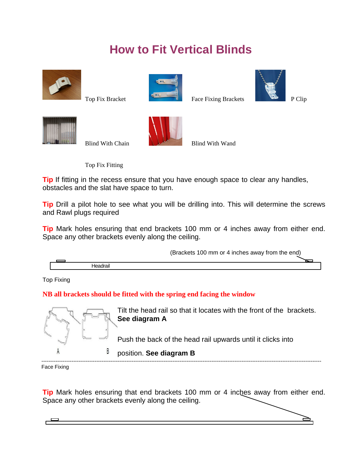# **How to Fit Vertical Blinds**





Top Fix Bracket Face Fixing Brackets P Clip







Blind With Chain Blind With Wand

Top Fix Fitting

**Tip** If fitting in the recess ensure that you have enough space to clear any handles, obstacles and the slat have space to turn.

**Tip** Drill a pilot hole to see what you will be drilling into. This will determine the screws and Rawl plugs required

**Tip** Mark holes ensuring that end brackets 100 mm or 4 inches away from either end. Space any other brackets evenly along the ceiling.

(Brackets 100 mm or 4 inches away from the end)

| _ _ _ _ |  |  |
|---------|--|--|
|         |  |  |

Top Fixing

# **NB all brackets should be fitted with the spring end facing the window**



Tilt the head rail so that it locates with the front of the brackets. **See diagram A**

Push the back of the head rail upwards until it clicks into

position. **See diagram B**

-------------------------------------------------------------------------------------------------------------------------------------------------------------- Face Fixing

**Tip** Mark holes ensuring that end brackets 100 mm or 4 inches away from either end. Space any other brackets evenly along the ceiling.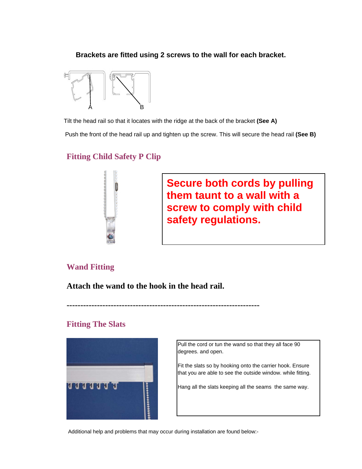## **Brackets are fitted using 2 screws to the wall for each bracket.**



Tilt the head rail so that it locates with the ridge at the back of the bracket **(See A)** Push the front of the head rail up and tighten up the screw. This will secure the head rail **(See B)**

# **Fitting Child Safety P Clip**



**Secure both cords by pulling them taunt to a wall with a screw to comply with child safety regulations.**

# **Wand Fitting**

**Attach the wand to the hook in the head rail.**

**----------------------------------------------------------------------**

# **Fitting The Slats**



Pull the cord or tun the wand so that they all face 90 degrees. and open.

Fit the slats so by hooking onto the carrier hook. Ensure that you are able to see the outside window. while fitting.

Hang all the slats keeping all the seams the same way.

Additional help and problems that may occur during installation are found below:-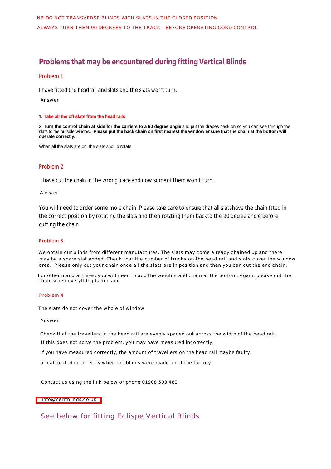ALWAYS TURN THEM 90 DEGREES TO THE TRACK BEFORE OPERATING CORD CONTROL

# **Problems that may be encountered during fitting Vertical Blinds**

### Problem 1

I have fitted the headrail and slats and the slats won't turn.

### Answer

1**. Take all the off slats from the head rails**

2. **Turn the control chain at side for the carriers to a 90 degree angle** and put the drapes back on so you can see through the slats to the outside window. Please put the back chain on first nearest the window ensure that the chain at the bottom will **operate correctly.**

When all the slats are on, the slats should rotate.

### Problem 2

I have cut the chain in the wrong place and now some of them won't turn.

#### Answer

You will need to order some more chain. Please take care to ensure that all slatshave the chain fitted in the correct position by rotating the slats and then rotating them backto the 90 degree angle before cutting the chain.

#### Problem 3

We obtain our blinds from different manufactures. The slats may come already chained up and there may be a spare slat added. Check that the number of trucks on the head rail and slats cover the window area. Please only cut your chain once all the slats are in position and then you can cut the end chain.

For other manufactures, you will need to add the weights and chain at the bottom. Again, please cut the chain when everything is in place.

#### Problem 4

The slats do not cover the whole of window.

#### Answer

Check that the travellers in the head rail are evenly spaced out across the width of the head rail.

If this does not solve the problem, you may have measured incorrectly.

If you have measured correctly, the amount of travellers on the head rail maybe faulty.

or calculated incorrectly when the blinds were made up at the factory.

Contact us using the link below or phone 01908 503 482

[info@meritblinds.co.uk](http://www.meritblinds.co.uk/contact.html)

### See below for fitting Eclispe Vertical Blinds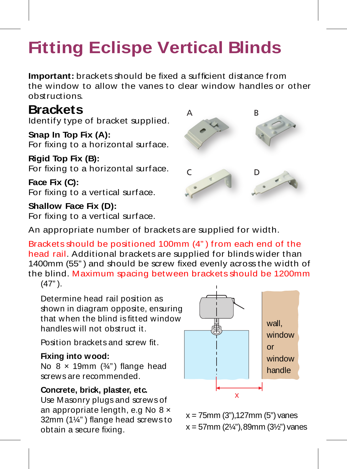# **Fi t ting Eclispe Vertical Blinds**

**Important:** brackets should be fixed a sufficient distance from the window to allow the vanes to clear window handles or other obstructions.

### **Bra cke t s**

I d e n tify t y pe o f b r a c k e t su p plie d .

**Snap In Top Fix (A) :** For fixing to a horizontal surface.

**Rigid Top Fix ( B) :** For fixing to a horizontal surface.

**Fa ce Fix ( C) :** For fixing to a vertical surface.

#### **Shallo w Fa ce Fix (D) :**

For fixing to a vertical surface.



An appropriate number of brackets are supplied for width.

Brackets should be positioned 100mm (4") from each end of the head rail. Additional brackets are supplied for blinds wider than 1400mm (55") and should be screw fixed evenly across the width of the blind. Maximum spacing between brackets should be 1200mm (47 " ).

Determine head rail position as shown in diagram opposite, ensuring that when the blind is fitted window handles will not obstruct it.

Position brackets and screw fit.

#### **Fixing in to wood :**

No 8 x 19mm (¾") flange head screws are recommended.

#### **Con cre te, bri ck, pla st e r, e t c.**

Use Masonry plugs and screws of an appropriate length, e.g No 8 × 32mm (1¼") flange head screws to o b t ain a se c u re fixin g .



x = 75mm (3"),127mm (5") vanes

x = 57mm (2¼"),89mm (3½") vanes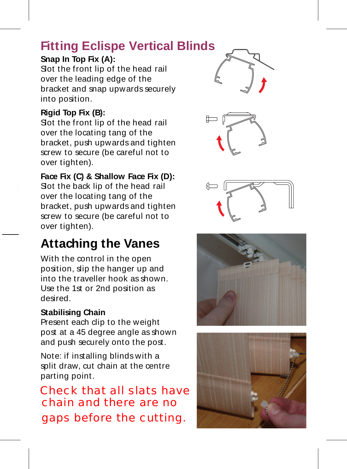### **Fitting Eclispe Vertical Blinds**

#### **Snap In Top Fix (A):**

Slot the front lip of the head rail over the leading edge of the bracket and snap upwards securely into position.

#### **Rigid Top Fix (B):**

Slot the front lip of the head rail over the locating tang of the bracket, push upwards and tighten screw to secure (be careful not to over tighten).

#### **Face Fix (C) & Shallow Face Fix (D):**

Slot the back lip of the head rail over the locating tang of the bracket, push upwards and tighten screw to secure (be careful not to over tighten).

### **Attaching the Vanes**

With the control in the open position, slip the hanger up and into the traveller hook as shown. Use the 1st or 2nd position as desired.

#### **Stabilising Chain**

Present each clip to the weight post at a 45 degree angle as shown and push securely onto the post.

Note: if installing blinds with a split draw, cut chain at the centre parting point.

Check that all slats have chain and there are no gaps before the cutting.









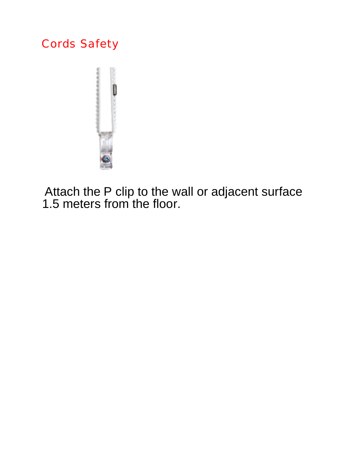#### Cords Safety



Attach the P clip to the wall or adjacent surface 1.5 meters from the floor.